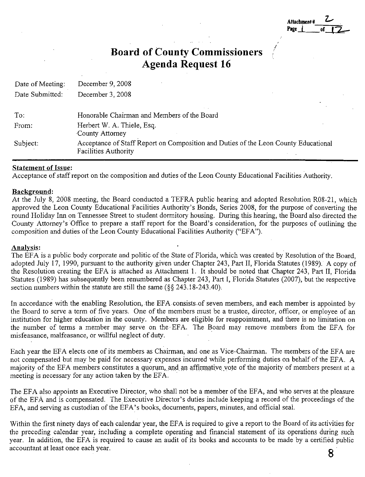| Attachment # |  |
|--------------|--|
| <b>Page</b>  |  |

*I* 

# **Board of County Commissioners Agenda Request 16**

| Date of Meeting: | December 9, 2008                                                                                                   |  |
|------------------|--------------------------------------------------------------------------------------------------------------------|--|
| Date Submitted:  | December 3, 2008                                                                                                   |  |
|                  |                                                                                                                    |  |
| To:              | Honorable Chairman and Members of the Board                                                                        |  |
| From:            | Herbert W. A. Thiele, Esq.<br>County Attorney                                                                      |  |
| Subject:         | Acceptance of Staff Report on Composition and Duties of the Leon County Educational<br><b>Facilities Authority</b> |  |

# **Statement of Issue:**

Acceptance of staff report on the composition and duties of the Leon County Educational Facilities Authority.

# **Background:**

At the July 8, 2008 meeting, the Board conducted a TEFRA public hearing and adopted Resolution R08-21, which approved the Leon County Educational Facilities Authority's Bonds, Series 2008, for the purpose of converting the round Holiday Inn on Tennessee Street to student dormitory housing. During this hearing, the Board also directed the County Attorney's Office to prepare a staff report for the Board's consideration, for the purposes of outlining the composition and duties of the Leon County Educational Facilities Authority ("EF A").

# **Analysis:**

The EFA is a public body corporate and politic of the State of Florida, which was created by Resolution of the Board, adopted July 17, 1990, pursuant to the authority given under Chapter 243, Part II, Florida Statutes (1989). A copy of the Resolution creating the EFA is attached as Attachment I. It should be noted that Chapter 243, Part II, Florida Statutes (1989) has subsequently been renumbered as Chapter 243, Part I, Florida Statutes (2007), but the respective section numbers within the statute are still the same  $(\S_{\mathcal{S}} 243.18-243.40)$ .

In accordance with the enabling Resolution, the EFA [consists.of](https://consists.of) seven members, and each member is appointed by the Board to serve a term of five years. One of the members must be a trustee, director, officer, or employee of an institution for higher education in the county. Members are eligible for reappointment, and there is no limitation on the number of terms a member may serve on the EFA. The Board may remove members from the EFA for misfeasance, malfeasance, or willful neglect of duty.

Each year the EFA elects one of its members as Chairman, and one as Vice-Chairman. The members of the EFA are not compensated but may be paid for necessary expenses incurred while performing duties on behalf of the EFA. A majority of the EFA members constitutes a quorum, and an affirmative vote of the majority of members present at a meeting is necessary for any action taken by the EFA.

The EFA also appoints an Executive Director, who shall not be a member of the EFA, and who serves at the pleasure of the EFA and is compensated. The Executive Director's duties include keeping a record of the proceedings of the EFA, and serving as custodian of the EFA's books, documents, papers, minutes, and official seal.

Within the first ninety days of each calendar year, the EFA is required to give a report to the Board of its activities for the preceding calendar year, including a complete operating and financial statement of its operations during such year. In addition, the EFA is required to cause an audit of its books and accounts to be made by a certified public accountant at least once each year. **8**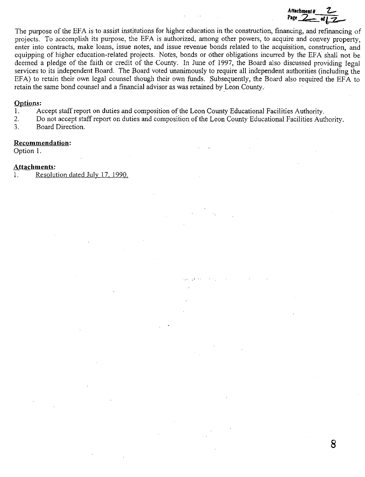**Attachment # 2** Page <u>2</u> of 2

**8** 

The purpose of the EFA is to assist institutions for higher education in the construction, financing, and refinancing of projects. To accomplish its purpose, the EFA is authorized, among other powers, to acquire and convey property, enter into contracts, make loans, issue notes, and issue revenue bonds related to the acquisition, construction, and equipping of higher education-related projects. Notes, bonds or other obligations incurred by the EFA shall not be deemed a pledge of the faith or credit of the County. In June of 1997, the Board also discussed providing legal services to its independent Board. The Board voted unanimously to require all independent authorities (including the EFA) to retain their own legal counsel though their own funds. Subsequently, the Board also required the EF A to retain the same bond counsel and a financial advisor as was retained by Leon County ..

### **Options:**

- 1. Accept staff report on duties and composition of the Leon County Educational Facilities Authority.<br>2. Do not accept staff report on duties and composition of the Leon County Educational Facilities Aut
- 2. Do not accept staff report on duties and composition of the Leon County Educational Facilities Authority.<br>3. Board Direction.
- Board Direction.

### **Recommendation:**

Option L

### **Attachments:**

1. Resolution dated July 17, 1990.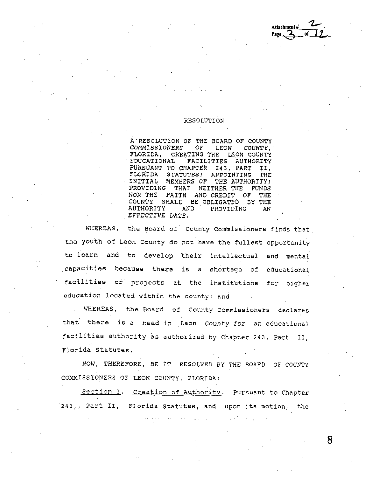**Attachment#**   $Page \, \sqrt{2}$ 

### .RESOLUTION

A·RESOLUTION OF THE BOARD OF COUNTY COMMISSIONERS OF LEON COUNTY, FLCRIDA, CREATING THE LEON COUNTY · EDUCATIONAL FACILITIES AUTHORITY PURSUANT TO CHAPTER 243, PART II, FLORIDA STATUTES; APPOINTING THE INITIAL MEMBERS OF THE AUTHORITY; PROVIDING THAT NEITHER THE FUNDS NOR THE FAITH AND CREDIT OF THE COUNTY SHALL BE OBLIGATED BY THE<br>AUTHORITY AND PROVIDING AN AUTHORITY . AND PROVIDING AN *EFFECTIVE DATE.* 

WHEREAS, the Board of County Commissioners finds that the youth of Leon County do not have the fullest opportunity to learn and to develop their intellectual and mental .capacities because there is a shortage of educational facilities or projects at the institutions for higher education located within the county; and

WHEREAS, the Board of County Commissioners declares that there is a need in Leon County for an educational facilities authority as authorized by Chapter 243, Part II, . Florida Statutes.

NOW, THEREFORE, *BE* IT RESOLVED *BY* THE BOARD OF COUNTY COMMISSIONERS OF LEON COUNTY, FLORIDA;

Section 1. Creation of Authority. Pursuant to Chapter ·243,, Part II, Florida statutes, and upon its motion, the

سعود والمساح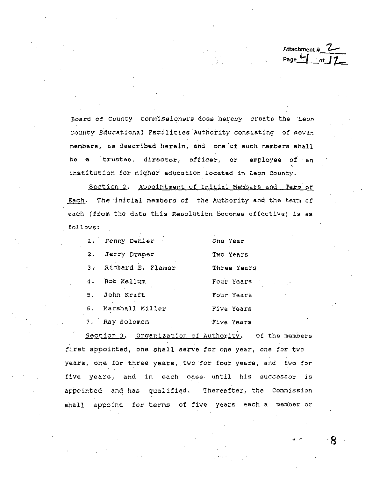Attachment # **'Z-** Page **1--f** *ot\_j* ~

Board of County Commissioners does hereby create the ·Leon county Educational Facilities.Authority consisting of sevan members, as described herein, and one of such members shall be a trustee, director, officer, or employee of an institution *tor* higher· education located in Leon County.

Section 2. Appointment of Initial Members and Term of Each. The initial members of the Authority and the term of each {from the date this Resolution becomes effective) is as follows:

|    | 1. Penny Denler      | One Year    |
|----|----------------------|-------------|
| 2. | Jerry Draper         | Two Years   |
|    | 3. Richard E. Flamer | Three Years |
| 4. | Bob Kallum           | Pour Years  |
|    | 5. John Kraft        | Four Years  |
|    | 6. Marshall Miller   | Five Years  |
|    | 7. Ray Solomon       | Five Years  |

Section 3. Organization of Authority. Of the members first appointed, one shall serve for one year, one for two years, one for three years, two for four years, and two for five years, and in each case. until his successor is appointed and has qualified. Thereafter, the Commission shall appoint for terms of five years each a member or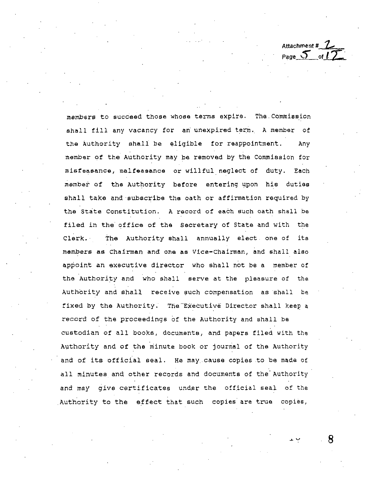Attachment # 1 Page  $5 \pi l^2$ 

members to succeed those whose terms expire. The Conuniseion ahall fill any vacancy for an unexpired term. A member of the Authority shall be eligible for reappointment. Any member of the Authority may be removed by the Commission for misfeasance, malfeasance or willful neglect of duty. Each member of the Authority before entering upon his duties shall take and subscribe the oath or affirmation required by the State Constitution. A record of each such oath shall be filed in the office of the Secretary of State and with the Clerk.· The Authority shall annually elect one of its members as Chairman and one as Vice-chairman, and shall also appoint an executive director who shall not be a member of the Authority and who shall serve at the pleasure of the Authority and shall receive such compensation as shall be fixed by the Authority. The Executive Director shall keep a record of the proceedings of the Authority and shall be custodian of all books, documents, and papers filed with the Authority and of the minute book or journal of the Authority and of its official seal. He may cause copies to be made of all minutes and other records and documents of the Authority and may give certificates under the official seal of the Authority to the effect that such copies are true copies,

~v **8**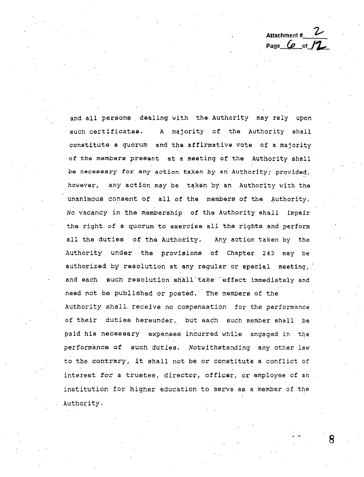Attachment #\_\_\_**\_\_ Page**  ${(\rho \text{ of }f)}$ 

and all persons dealing with the Authority may rely upon such certificates. A majority of the Authority shall constitute a quorum and the affirmative vote of **a** majority of the members present at a meeting of the Authority shall be necessary for any action taken by an Authority; provided, however, any action may be taken by an Authority with the unanimous consent of all of the members of the Authority. No vacancy in the membership of the Authority shall impair the right of **a** quorum to exercise all the rights and perform all the duties of the Authority. Any action taken by the Authority under the provisions of Chapter 243 may be authorized by resolution at any regular or special meeting, and each such resolution shall take" effect immediately and need not be published or posted. The members of the Authority shall. receive no compensation for the performance of their duties hereunder, but each such member shall be paid his necessary expenses incurred while engaged in the performance **of** such duties. Notwithstanding any other law to the contrary, it shall not be or constitute a conflict of interest for a trustee, director, officer, or employee of an institution for higher education to serve as a member of the Authority.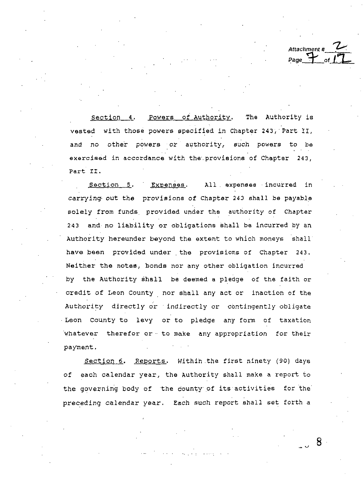Attachment # **"Z,,,·**  Page<sup>-</sup>

section 4. Powers of Authority, The Authority is vested with those powers specified in Chapter 243, Part II, and *no* other powers or authority, such powers to be exercised in accordance with the provisions of Chapter 243. Part II,

Section 5. Expenses. All expenses incurred in carrying• out the provisions of Chapter 243 shall be payable solely from funds provided under the authority of Chapter 243 and no liability or obligations shall be incurred by an Authority hereunder beyond the extent to which moneys shall have been provided under. the provisions of Chapter 243. Neither the notes, bonds nor any other obligation incurred by the Authority shall be deemed a pledge of the faith or credit of Leon County nor shall any act or inaction of the Authority directly or · indirectly or contingently obligate Leon County to levy or to pledge any form of taxation whatever therefor or to make any appropriation for their payment.

Section 6. Reports. Within.the first ninety (90) days of each calendar year, the Authority shall make a report to the governing body of the county of its activities for the preceding calendar year. Each such report shall set forth a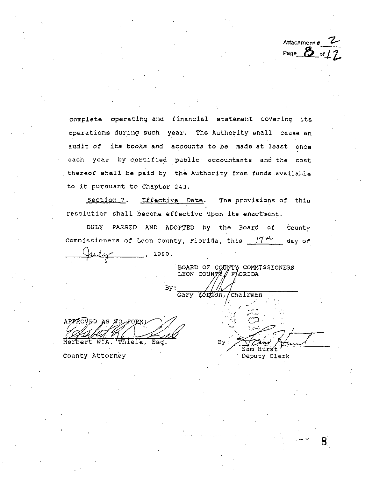Attachment # Page  $2\overline{5}$  of *1* 

8

complete operating and financial statement covering its operations during such year. The Authority shall cause an audit of its books and accounts to be made at least once each year by certified public accountants and the cost thereof shall be paid by the Authority from funds available to it pursuant to Chapter 24J,

section 7. Effective Date. The provisions of this resolution shall become effective upon lts enactment.

DULY PASSED AND· ADOPTED by the Board of County Commissioners of Leon County, Florida, this  $\frac{174}{11}$  day of , 1990.

COMMISSIONERS RIDA

Chairman

Sam Hurst Deputy Clerk

Yordon,

Bν

By:<br>APPROVED AS TO PORM:<br>Control of the back ~ . HeertW.A. ele, Esq.

county Attorney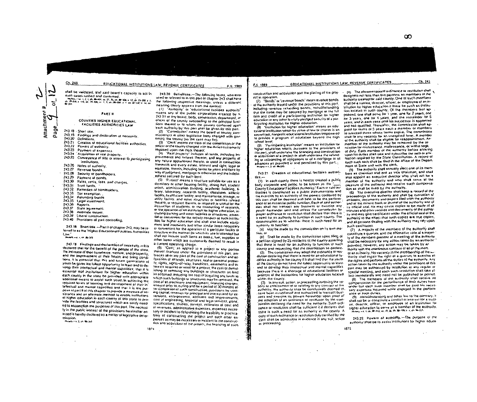Ch. 243

<u>EDUCATIONAL INSTITUTIONS LAW: REVENUE CERTIFICATES</u>

shall be validated, and said board's capacity to act in such cases ratined and committed. heaterformer 1, Z, P, Ch, 图 - 107, St, Z7, St, Ch, 图 - 2012 4 12, Ch 23-222 4 12.<br>http://www.article.com/2012/2012/11 1, 2, Ch, 图 - 2014 - 1 1, Ch, 12-13-32/1 4 16, Ch **COLORED** 

**PART H** 

COUNTIES HIGHER EQUORTIONAL **FACILITIES AUTHORITIES LAW** 

- 243 18 Short Blie.
- 243.19 Findings and declaration of necessity,
- 243.20 Octivitions.
- 243.21 Creation of educational facilities authorities.
- 243.22 Powers of suthority.
- 243.23 Payment of expanses.
- 243.24 Acquisition of real property,
- 243.25 Conveyance of little or interest to participating institutions.
- 243.25 Notes of authority.
- 243.27 Revenue bonds.
- 243.28 Security of bondholders.
- 243.29 Payment of ponds.
- 
- 243.30. Rates, rents, fees, and charges, 243.31 Trust lunds.
- 
- 243.32 Remedies of bondholders. 243.33 Tax exemption.
- 243.34 Retunding bonds
- 243.35 Legal investment.
- 243.36
- Reports.
- 243.37 State agreement. 243.58
- Allernate means.
- 243.39 Liberal construction.
- 243.40 Provisions of part controlling.

243.15 Short little .- Part II of chapter 243, may be referred to as the 'Higher Educational Facilities Authorities' Low.

**PRAINT-ALL CRN 89-3/5** 

243.59 Findings and declaration of necessity. with declared that for the benefit of the people of the state. the increase of their commerce, welfare, and prosperity, and the improvement of their health and living condihons, it is extential that this and lutine generations of youth be given the fullest opportunity to learn and to develop their intellectual and mental capacities; that it is essential that institutions for higher education within each county in the state be provided with appropriate additional means to assist such youth in achieving the required fevals of learning and development of their intailed ual and mental capacities and that it is the purpose of part # of this chanter to provide a measure of assistance and an alternate method to enable institutions. at higher education in each county of this state to provide the facilities and structures which are sorely needed to accomplish the purposes of this part. The necessily in the public interest of the provisions hareinalter enacted is hereby declared as a matter of legistalive determinarion.

 $\sigma_{\rm{max}}$ 

Malers - 5, 2 ah 89, 345

243.20 Delinfitons.-The following terms, wherever used or referred to in this part of chapter 243 shall have the following respective meanings, unless a different meaning clearly appears from the context.

F.S. 1989

(1) Authority or educational facilities authority means any of the public corporations created by 5. 243 21 or any board, body, commission, department, or atticer of the county succeeding to the principal functions thereof or to whom the powers conferred upon each authority by this part shall be given by this part. 12) "Commission" means the board of county commissioners or other tegislative body charged with governing the county (as the case may be).

(3) "Clerk means the clerk of the commission or the other of the county charged with the duties customarily imposed your the clerk thereof.

(4) Real property' includes all lands, including tmprovements and lixtures thereon, and any properly of any nature appointenant thereto, or used in connection inerewith and every extate, interest and sight, legal or equitable, therein, including terms for years and kens by way of judgment, mortgage or otherwise and the indebtedness secured by such liens

(5) Project' means a structure suitable for use as a doinvitory or other housing facility, dining hall, student union, administration pullding, academic building, fibrary, laboratory, research facility, classicom, athletic lacility, health care facility, and maintenance, storage, or utility facility, and other structures or facilities related thereto, or required thereto, or required or useful for the instituction of students, or the conducting of research, or the aperation of an institution for higher education, including parking and other lacitries or structures, essenhas or convenient for the orderly conduct of such institulion for higher education and shall also include equipment and inachinery and other similar items necessary or convenient for the operation of a particular facility or structure in the manner for which its use is intended but shall not include such items as books, fuel, supplies or ather items which are customarby deemed to result in a current operating charge.

(6) 'Cost,' as applied to a project or any portion thereof financed under the provisions of this part, embraces all or any part of the cost of construction and acquisition of all ands, siructures, feal or personal proper-1y, rights, rights-of-way, tranchises, easements and inleres)) acquired or used for a project, the cost of demotishing or removing any buildings or structures on land so acquired, including the cost of acquiring any lands to which such buildings or structures may be removed, the bost of all machinery and equipment, financing charges, interest prior to, suring and for a period of 30 months at. ter completion of such construction, provisions for working capital, reserves for principal and interest and for extensions, enlargements, additions and improvements, cost of engineering, linspoist and legal services, plans, apecifications, studies, surveys, estimates of cost and pl revenues, administrative expenses, expenses necessary or incident to determining the leasibility or practicability of constructing the project and such other experises as may be recessary or incident to the construction and acquisition of the project, the lingnoing of such 1874

### F.S. 1989

# EQUEATIONAL INSTITUTIONS LAW; REVENUE CERTIFICATES

construction and acquisition and the placing of the project in operation.

(7) Bonds' or 'revenue bonds' mean revenue bonds of the authority issued under the provisions of this part, including revenue relunding bands, notwithstanding that the same may be secured by motigage or the full fails and credit of a participating institution for higher equication or any other favelully preciped security of a par-Reipating institution for higher education.

(8) Tristitution for higher education' means an eduestional institution which by victue of law or charter is an accredited, nonprofit educational institution empowered to provide a program of education beyond the high school wurd.

(9) Participating institution' means an institution for higher education which, pursuant to the provisions of this part, shall undertake the linancing and construction or acquisition of a project or shall undertake the refunding or relinancing of obligations or of a motionge or of advances as provided in and permitted by this part.  $44.447 - 1$  and the  $35.5$ 

243.21 Crassion of educational facilities authori $t$  is  $-$ 

(1) In each county there is hereby created a public body corporate and politic to be known as the " County Educational Facilities Authority," Each of said authorities is constituted as a public instrumentality and ine exercise by an authority of the powers conferred by this part shall be deemed and held to be the performance of an essential public function, Each of said authorlifes shall not transact any business or exercise any power hereunder until and unless the commission by proper ordinance or resolution shall declare that there is a need for an authority to function in such county. The determination as to whether there is such need for an authority to tunction;

(a) May be made by the commission on its own motion, or

(b) Shall be made by the commission upon liling of a petition signed by 25 residents of the country asserting. that there is need for an authority to function in such county and requesting that the commission so declare.

(2) The commission may adopt the ordinance or resplusion declaring that there is need for an educational tacarries authority in the country if it straff find that the you're of the county do not have the kinest opportunity to learn and to develop their intellectual and mental capacilies because there is a shortage of educational facilities of projects at the obtainons for higher education located within the County.

(3) In any suit, action, or proceeding involving the vaficilly arentarcement of or relating to any contract of the authority, the authority shak be conclusively deemed to. have been established and authorized to transact business and exercise its powers hereunder upon proof of the adoption of an ordinance of resolution by the commission declaiming the need for the authority. Such ordipance or resolution shall be sufficient if it declares that there is such a need for an authority in the county. A copy of such ardinance or resolution duly certified by the clerk shall be admissible in evidence in any suit, action or proceeding.

(e) The aforementioned ordinance or resolution shall, designato not loss than five persons as marribers of the authority created for said county. One of such members shad be a hustee, director, officer, or employee of an institution for higher education is these be such an institution tocaled in such county. Of the members first uppointed, and shall serve for I year, one for 2 years, one for 3 years, one for 4 years, and the remainder for 5 veass, and in each case until his successor is appointed and has qualified. Thereafter, the commission shall appoint for seims of 5 years each a member or members to succeed those whose terms expire. The commission shall like any vecency for an unexpired term. A member of the authority shak be eligible for reappointment, Am member of the authority may be removed by the conússion for misfeasance, malleasance, or withot neon.

of duty. Each member of the authority before antering upon his dulles shall lake and subscribe the oath or affimation required by the State Constitution. A record of each such bath shall be filed in the affice of the Department of State and with the clerk,

(5) The authority shell annually elect one of its members as chairman and not as vice thairman, and shall also appoint an executive director who shall not be a member of the authority and who shall sarve at the pleasure of the authority and seceive such compensation as shall be lixed by the authority.

(6) The executive director shall keep a record of the proceedings of the authority and shall be custodian of as books, documents and papers filed with the authority and of the minute book or journal of the authority and of its official seal, the may cause copies to be made of all minutes and ather records and documents of the authority and may give certificates onder the official seal of the authority to the effect that such copies are true copies. and all persons dealing with the authority may rely upon such centricates.

(7) A majority of the members of the authority shall constitute a quorixis, and the affirmative vote of a majority of the members present at a meeting of the authority shall be necessary for any action taken by an authority: provided, however, any action may be taken by an shoully with the unanimous consent of all of the memof an authority, his vacancy in the membership of the wothority shall impair the right of a quoturn to axercise all the rights and perform all the duties of the authority, Any action taken by the authority under the provisions of this part may be authorized by resolution as any regular or special meeting, and each such resolution shall take ellect invitediately and need not be published or posted.

(8) The members of the authority shall receive no compensation for the performance of their duties hereunder but each such member shall be paid his necessary expenses incurred while engaged in the purtormance of firch outles.

(9) Notwithstanding any other law to the contrary, it shall not be a constitute a condict of interest for a trustee, director, afficer, or employee of an institution for higher education to serve at a member of the euthority. POLICING, 41. 4. 25. 20-34.5; 10, 10, 25. 05. 10-400; 1. 4. 04. 10-214.

243.22. Powers at authority.-The purpose of the authority shall be to assist institutions for higher educa-

1875

 $C1.243$ 

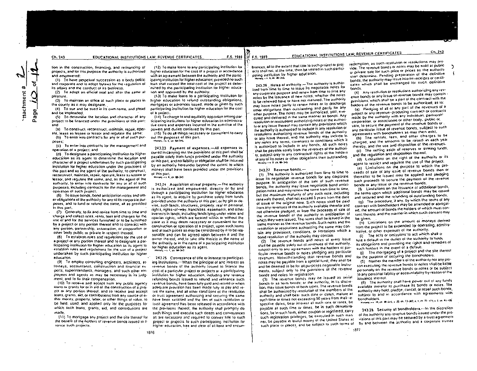ttachment #

Page

tion in the construction, financing, and retinancing of projects, and for this purpose the authority is authorized. and emotivered:

(1) To have perpetual succession as a body politic and corporate and to adopt bylaws for the requisiton of its attairs and the conduct of its business.

(2) To adopt an official seal and alter the same at pleasure.

(3) To maintain an office at such place or places in the county as it may designate.

(4) To sue and be sued in its own name, and plead and be impleaded.

(5) To determine the location and character of any project to be linanced under the provisions of this part: and

(a) To construct, reconstruct, maintain, repair, operale, lease as lessee or lessor and regulate the same;

(b) To enter into contracts for any or all of such purposes:

(c) To enter into contracts for the management and operation of a project; and

(d) To designate a participating institution for higher education as its agent to determine the location and character of a project undertaken by such participating institution for higher education under the provisions of this part and as the agent of the authority, to construct, reconstruct, maintain, repair, operate, lease as lessee or lessor, and requiale the same, and, as the agent of the authority, to enter into contracts for any or all of such purposes, including contracts for the management and operation of such project.

(6) To issue bonds, bond anticipation notes and other obligations of the authority for any of its corporate purposes, and to fund or refund the same, all as provided. in this part.

(7) Generally, to lix and revise from time to time and icharge and collect rates, rents, fees and charges for the use of and for the services furnished or to be furnished by a project or any portion thereof and to contract with any person, partnership, association, or corporation or other body public or private in respect thereof.

(B) To establish rules and regulations for the use of a project or any portion thereof and to designate a parlicipating institution for higher education as its agent to establish rules and regulations for the use of a project. undertaken by such participating institution for higher education.

(9) To employ consulting engineers, architects, atforneys, accountants, construction and financial experts, superintendents, managers, and such other employees and agents as may be necessary in its judgment, and to fix their compensation.

(10) To receive and accept from any public agency toans or grants for or in aid of the construction of a project or any portion thereof, and to receive and accept loans, grants, aid, or contributions from any source of either money, property, labor, or other things of value, to be held, used, and applied only for the purposes for which such loans, grants, aid, and contributions are made

(11) To mortgage any project and the site thereof for the benefit of the holders of revenue bonds issued to finance such projects.

(12) To make loans to any participating institution for higher education for the cost of a project in accordance with an agreement between the authority and the participating institution for higher education; provided no such loan shall exceed the total cost of the project as determined by the participating institution for higher educalion and approved by the authority.

F.S. 1989

F.S. 1989

(13) To make loans to a participating institution for higher education to refund outstanding obligations, mortgages or advances issued, made or given by such participating institution for higher education for the cost of a project.

(14) To charge to and equitably apportion among participating institutions for higher education its administralive costs and expenses incurred in the exercise of the powers and dulies conferred by this part.

(15) To do all things necessary or convenient to carry out the purposes of this part.

 $-5.003 - 345$ 

243.23 Payment of expenses.-All expenses incurred in carrying out the provisions of this part shall be payable solely from lunds provided under the authority of this part, and no liability or obligation shall be incurred by an authority hereunder beyond the extent to which moneys shall have been provided under the provisions of this part.

History. . . 6. ch 69-345

1876

243.24 Acquisition of real property.-The authority is authorized and empowered, directly or by and through a participating institution for higher education as its agent, to acquire by purchase solely from funds. provided under the authority of this part, or by gift or devise, such lands, structures, properly, real or personal, rights, rights-of-way, franchises, easements, and other interests in lands, including lands lying under water and riparian rights, which are located within or without the state as it may deem necessary or convenient for the construction or operation of a project, upon such terms. and at such prices as may be considered by it to be reasonable and can be agreed upon between it and the owner thereof, and to take title thereto in the name of the authority or in the name of a participating institution. for higher education as its agent.  $min$  on  $-1$  for  $60 - 145$ 

243.25 Conveyance of title or interest to participating institutions.-When the principal of and interest on revenue bonds of the authority issued to finance the cost of a particular project or projects at a participating. institution for higher education, including any revenue refunding bonds issued to relund and refinance such revenue bonds, have been fully paid and retired or when adequate provision has been made fully to pay and retire the same, and all other conditions of the resolution. or trust agreement authorizing and securing the same. have been satisfied and the lien of such resolution or Trust agreement has been released in accordance with the provisions thereof, the authority shall promptly do such things and execute such deeds and conveyances. as are necessary and required to convey title to such project or projects to such participating institution for higher education, tree and clear of all liens and encumEDUCATIONAL INSTITUTIONS LAW; REVENUE CERTIFICATES

brances, all to the extent that title to such project or projects shall not, at the time, then be vested in such participating institution for higher education. Halam - L. E. or. 89-345.

243.26 Notes of authority. The authority is authorized from lime to time to issue its negotiable notes for any corporate purpose and renew from time to time any notes by the issuance of new notes, whether the notes to be renewed have or have not matured. The authority may issue notes partly to renew notes or to discharge other obligations then outstanding and partly for any other purpose. The notes may be authorized, sold, executed and delivered in the same manner as bonds. Any resolution or resolutions authorizing notes of the authorily or any issue thereof may contain any provisions which the authority is authorized to include in any resolution or resolutions authorizing revenue bands of the authority of any issue thereof, and the authority may include in any notes any terms, covenants or conditions which it is authorized to include in any bonds. All such notes shall be payable solely from the revenues of the authorily, subject only to any contractual rights of the holders of any of its notes or other obligations then outstanding.  $H_{\text{S}}(m\gamma)=1$  . S. ch, EB-3-15

243.27 Revenue bonds.-

(1) The authority is authorized from time to time to issue its negotiable revenue bonds for any corporate purpose, In anticipation of the sale of such revenue bonds; the authority may issue negotiable bond anticipation notes and may renew the same from time to time, but the maximum maturity of any such note, including renewals thereof, shall not exceed 5 years from the date of issue of the original note. Sixth notes shall be paid from any revenues of the authority available therefor and not otherwise pledged, or from the proceeds of sale of the revenue bonds of the authority in anticipation of which they were issued. The notes shall be issued in the same manner as the revenue bonds. Such notes and the resolution or resolutions authorizing the same may contain any provisions, conditions, or limitations which a bond resolution of the authority may contain.

(2) The teverue bonds and notes of every issue shall be payable solely out of revenues of the authority. subject only to any agreements with the holders of particular revenue bonds or notes pledging any particular revenues. Notwithstanding that revenue bonds and notes may be payable from a special fund, they shall be and be deemed to be for all purposes negotiable instruments, subject only to the pravisions of the revenue bonds and notes for registration.

(3) The revenue bonds may be issued as serial bonds or as term bonds; or the authority, in its discrelion, may issue bonds of both types. The revenue bonds shall be authorized by resolution of the members of the authority and shall bear such date or dates, mature at such time or times not exceeding 50 years from their respective dates, bear interest at such rate or rates, be payable all such time or times, be in such denominations, be in such form, either coupon or registered, carry such registration privileges, be executed in such manner, be payable in lawful money of the United States at such place or places, and be subject to such terms of

redemption, as such resolution or resolutions may provide. The revenue bond's or notes may be sold at public or private sale for such price or prices as the authority shall determine. Pending preparation of the delinitive bonds, the authority may issue interim receipts or certificates which shall be exchanged for such definitive honds.

Ch. 243

(4) Any resolution or resolutions authorizing any revenue bonds or any issue of revenue bonds may contain provisions, which shall be a part of the contract with the holders of the revenue bonds to be authorized, as to: (a) Pledging of all or any part of the revenues of a

project or any revenue-producing contract or contracts made by the authority with any individual, partnershcorporation, or association or other body, public or vate, to secure the payment of the revenue bonds or any particular issue of revenue bonds, subject to such agreements with bondholders as may then exist,

(b) The rentals, lees, and other charges to be chaiged, and the amounts to be raised in each year thereby, and the use and disposition of the revenues. (c) The setting aside of reserves or sinking funds, and the regulation and disposition thereof,

(d) Limitations on the right of the authority or its agent to restrict and regulate the use of the project.

(e) Limitations on the purpose to which the proceeds of sale of any issue of revenue bonds then or therealter to be issued may be applied and pledging such proceeds to secure the payment of the revenue bonds or any issue of the revenue bonds,

(f) Limitations on the issuance of additional bonds, The terms upon which additional bonds may be issued and secured and the relunding of outstanding bonds. (g) The procedure, it any, by which the terms of any contract with bondholders may be amended or abrogaled, the amount of bonds the holders of which must consent thereto, and the mainer in which such consent may oa given.

(h) Limitations on the amount of moneys derived from the project to be expended for operating, administrative, or other expenses of the authority.

(i) The acts or omissions to act which shall of jule a default in the duties of the authority to holde its obligations and providing the rights and remedies of such holders in the event of a default.

(j) The mortgaging of a project and the site thereof for the purpose of securing the bondholders.

(5) Neither the members of the authority nor any person executing the revenue bonds or notes shall be liable personally on the revenue bonds or notes or be subject to any personal liability or accountability by reason of the issuance increof.

(6) The authority shall have power out of any funds available inerefor to purchase its bonds or notes. The authority may hold, pledge, cancel, or resell such bonds, subject to and in accordance with agreements with bondholders.

Hiatary. - 1 10.ch 田山5.1 万.ch.73-307.4.3.ch 日 けいえいある

243.28 Security of bondholders.-In the discretion of the authority any revenue bonds issued under the provisions of this part may be secured by a trust agreement by and between the authority and a corporate trustee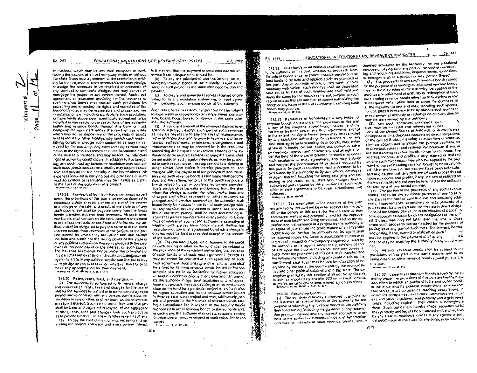$Ch. 243$ 

**ichment** 

Page

or trustees, which may be any trust company or bank. having the powers of a trust company within or without the state. Such trust agreement or the resolution providing for the issuance of such revenue bonds may pledge. or assion the revenues to be received or proceeds of any contract or contracts plegged and may convey or mortgage the project or any portion thereof, Such Hustagreement or resolution providing for the issuance of such revenue bonds may contain such provisions for. protecting and entercing the rights and remedies of the bondholders as may be reasonable and proper and not in violation of law, including particularly such provisions. as have hereinabove been specifically authorized to be included in any resolution or resolutions of the authority. authorizing revenue bonds thereof. Any bank or trust company incorporated under the laws of this state. which may act as depository of the proceeds of bonds. or of revenues or other moneys may furnish such indemhilying bonds or pleage such securities as may be required by the authority. Any such trust agreement may ise) forth the rights and remedies of the bonchorders and of the trustee or trustees, and may restrict the individual right of action by bondholders. In addition to the loregoing, any such trust agreement or resolution may contain such other provisions as the authority may degm reasonable and proper for the security of the bondholders. All expenses incurred in carrying out the provisions of such Trust agreement or resolution may be treated as a part of the cost of the operation of a project. Number 1, 11, 25, 28-342

243.29 Payment of bonds,-Revenue bonds issued under the provisions of this part shall not be deemed to constitute a debt of bability of the state or of the county. or a pledge of the faith and credit of the state or of any such county, but shall be payable solely from the funds herein provided therefor from revenues. At such revenue bonds shall contain on the face increol a statement. to the effect that neither the State of Plorida nor the authority shall be obligated to pay the same or the interest thereon except from revenues of the project or the portion thereof for which they are issued and that neither the laith and credit nor the faxing power of the state or at any political subdivision thereof is pledged to the payment of the principal of or the interest on such bonds. The issuance of revenue bonds under the provisions of this pail shall not directly or indirectly or contingently obligate the state or any political subdivision thereof to levy or to pledge any lorm of taxation whatever therefor pr to make any appropriation for their payment, **BLISOT - 1 12.4h 68-243 9 1.6h 71-124** 

243.30 Bales, rents, fees, and charges.-(1) The authority is authorized to fix, revise, charge and collect rates, rents, lees and charges for the use of and for the services turnished or to be furnished by each project and to contract with any person, partnership, association or corporation, or other body, public or private. in respect thereof. Such rates, rents, fees and charges. shall be fixed and adjusted in respect of the aggregate. of rates, rents, lees and charges from such project so as to provide tunds sufficient with other revenues. If any: (a) To pay the cost of maintaining, repairing and operating the project and each and every portion thereof.

to the extent that the payment of such cost has not othtrivise been adequately provided for,

(b) To pay the principal of and the interest on outstanding revenue bonds of the authority issued in resoect of such project as the same shall become due and payable.

(c) To create and maintain reserves required or provided for in any resolution authorizing, or trust agreement securing, such revenue bonds of the authority,

Such rates, rents, lees and charges shall not be subject to supervision or requisition by any department, commission, board. Gody, bureau or agency of this state other than the authority.

(2) A sullicient amount of the revenues derived in respect of a project, except such part of such revenues as may be necessary to pay the cost of maintenance. repair and operation and to provide teserves and for renewals, reclacements, extensions, enlargements and improvements as may be provided for in the resolution authorizing the issuance of any revenue bonds of the authority or in the trust agreement securing the same, shall be set a side at such regular intervals as may be provided in such resolution or trust agreement in a sinking or other similar fund which is hereby pledged to, and charged with, the payment of the principal of and the intelesion such revenue bonds as the same shall become due, and the redemption price or the purchase price of bonds relized by call or purchase as therein provided. Such pledge shall be valid and binding from the time when the pledge is made; the rates, rents, tees and charges and other revenues of other moneys so pledged and thereafter received by the authority shakimmediately be subject to the lien of such pledge with. out any physical delivery thereof or (titther act, and the lien of any such pledge shall be valid and binding as against all parties having claims of any kind in lost, contract or otherwise against the authority, krespective of whether such parties have notice thereof. Heither the resolution has any trust agreement by which a pleone a created need be filed or recorded except in the records of the authority.

(3) The userand disposition of moneys to the credit of such sinking or other similar lund shall be subject to the provisions of the resolution authorizing the issuance. of such bonds or of such trust agreement. Except as may otherwise be provided in such resolution or such frust agreement, such sinking or other similar fund shall. be a long for all such revenue bonds issued to Imance. projects alla particular institution for higher education. without distinction or priority of one over another; provided the authority in any such resolution or trust agreement may provide that such sinking or other similar lund. shall be the fund for a particular project at an institution for higher education and for the revenue bonds issued to tinance a particular project and may, additionally, permit and provide for the issuance of revenue bonds having a subordinate lien in respect of the security herein. authorized to other revenue bonds of the authority and in such case, the authority may create separate sinking. or other similar funds in respect of such subordinate kenbonds.

 $\mu_{\rm H}$  (seg  $\mu_{\rm V} = \sqrt{3}$  , pr. 69-345.

# EQUCATIONAL INSTITUTIONS LAW, BEVERUE CERTIFICATES

243.31 Trust funds. - All maneys received pursuant to the authority of this part, whether as proceeds from the sale of bonds or as revenues, shall be deemed to be trust funds to be held and applied solely as provided in this part. Any atticer with whom, or any bank of trust company with which, such moneys shall be deposited shaking this is using of such moneys and shall hold and apply the same for the purposes hereof, subject to such: regulations as this act and the resolution authorizing the bonds of any issue or the trust agreement securing such bonos may provide.

 $H = \frac{1}{2} \int_{0}^{2\pi} \sqrt{1 - \left( \frac{1}{2} \right)^2} \left( \frac{1}{2} \right) \, d\theta = \frac{1}{2} \pi \int_{0}^{2\pi}$ 

F.S. 1969

 $F.5.1989$ 

243.32 Remedias of bandholders,-Any holder of revenue boods issued under the provisions of this part or any of the coupons appertaining thereto, and the trustée or trustées under any trust agreement, except to the extent the rights harem given may be restricted by any resolution authoriting the issuance of, or any such trust agreement securing, such bonds, may, either at law or in equity, by suit, action, mandamus or other proceedings, protect and enforce any and all rights under the laws of the state or gramed hereunder or under such resolution or trust agreement, and may enforce and compet the performance of all duries required by this part or by such resolution or trust agreement to be performed by the authority or by any others, employee or agent thereof, including the fixing, charging and collecting of the rates, rents, lees and charges herein authorized and required by the provisions of such resolution or trust agreement to be fixed, established and collected.

医皮膜

Ž.

ii<br>Af

PART NO.

P.

ψ,

243.33 Tax exemption.-The exercise of the powers granted by this part will be in all respects for the benelit of the people of this scale, for the increase of their commerce, wellard and prospectly, and for the improvement of their health and living conditions, and as the oppration and maintenance of a project by the authority or its agent will constitute the performance of an essential public function, neither the authority not its agent shall be required to pay any fakes or assessments upon or in respect of a project or any property acquired or used by the authority of its agents under the provisions of this pait or upon the income therefrom, and any bonds issued under the provisions of this part, their transfer, and the income therefrom, including any profit made on the sale thereof, shall at all times be free hom taxation of every kind by the state. the county and by the municipalities and other political subdivisions in the state. The exemption granted by this section shall not be applicable. to any lax imposed by chapter 220 on interest, income or profits on debt obligations owned by corporations.

#### 243.34 Relanding bonds.-

(1) The suthority is hereby authorized to provide for the issuance of revenue bonds of the authority for the puspose of retunding any revenue bonds of the authority then outstanding, including the payment of any redemplion premium thereon and any interest accrued or to accrue to the earliest or subsequent date of redemption. purchase or maturity of such revenue bonds, and, if

deemed advisable by the authority, for the additional purpose of paying all or any part of the cost of constructing and acquiring additions, improvements, extensions or enlargements of a project or any portion thereof.

 $Cn. 243$ 

(2) The proceeds of any such revenue bonds issued for the purpose of refunding pulstanding revenue bonds may, in the discretion of the authority, be applied to the purchase or refirement at maturity or redemption of such outstanding revenue bonds eitner on their earliest or any subsequent redemption date or upon the purchase or al the maturity thereof and may, pending such application, be placed in escrow to be applied to such purchase or relixement at maturity or redemption on such date as may be determined by the authority.

(3) Any such esciowed proceeds, pers : use, may be invested and reinvested in offer. tions at the United States of America, or in certificates of deposit or lime deposits secured by direct obligations. of the United States, maluring at such time of times as shall be appropriate to assure the prompt payment, as to principal, interest and redemption premium, if any, of the outstanding revenue bonds to be so relunded. The interest, income, and profils, if any, earned or realized on any such hivestment may also be applied to the payment of the pulstanding revenue bonds to be so refunded. Alser the terms of the escrow have been july salislied and carried out, any balance of such proceeds and interest, income and piglits, if any, earned or realized on the investments inereof may be returned to the authority

for use by it in any lawful manner. (4) The portion of the proceeds of any such revenue bonds issued for the additional purpose of paying all or any part of the cost of constructing and acquiring additions, improvements, extensions or enfargements of a project may be invested and reinvested in direct obligations of the United States, or in certificates of deposit or time deposits secured by direct opligations of the United States, maturing not fater than the time or times when such proceeds will be needed for the purpose of paying all or any part of such cost. The interest, income and profils, il any, earned or realized on such?  $n<sub>i</sub>$ -xh may be applied to the parment of all or any. cost or may be used by the authority in any issued man-

(5) All such revenue bonds shall be subject to the provisions of this part in the same manner and to the same extent as other revenue bonds issued porsuant in this cart.

**Weimanne 17, 14, 49-7-5** 

243.35 Legal Investment.- Bonds issued by the authority under the provisions of this part are hereby made securities in which all public officers and public bodies of the state and its political subdivisions, all eisurance companies, trust companies, banking associations, in vestment companies, executors, administrators, trust ees and other fiduciaries may properly and legally investunas, including capital in their control or belonging in them. Such bonds are hereby made securities which may properly and legally be deposited with and receiver by any state or municipal officer or any agency or polit cal subdivision of the state for any purpose for which its